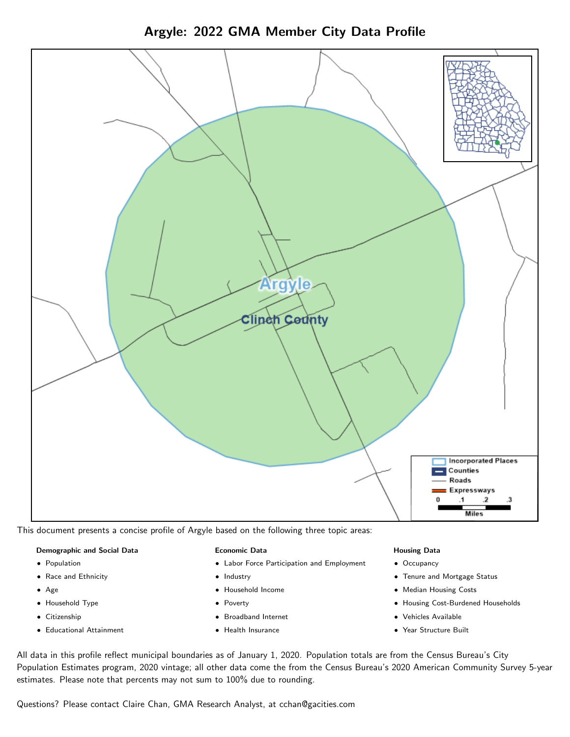Argyle: 2022 GMA Member City Data Profile



This document presents a concise profile of Argyle based on the following three topic areas:

## Demographic and Social Data

- **•** Population
- Race and Ethnicity
- Age
- Household Type
- **Citizenship**
- Educational Attainment

## Economic Data

- Labor Force Participation and Employment
- Industry
- Household Income
- Poverty
- Broadband Internet
- Health Insurance

## Housing Data

- Occupancy
- Tenure and Mortgage Status
- Median Housing Costs
- Housing Cost-Burdened Households
- Vehicles Available
- Year Structure Built

All data in this profile reflect municipal boundaries as of January 1, 2020. Population totals are from the Census Bureau's City Population Estimates program, 2020 vintage; all other data come the from the Census Bureau's 2020 American Community Survey 5-year estimates. Please note that percents may not sum to 100% due to rounding.

Questions? Please contact Claire Chan, GMA Research Analyst, at [cchan@gacities.com.](mailto:cchan@gacities.com)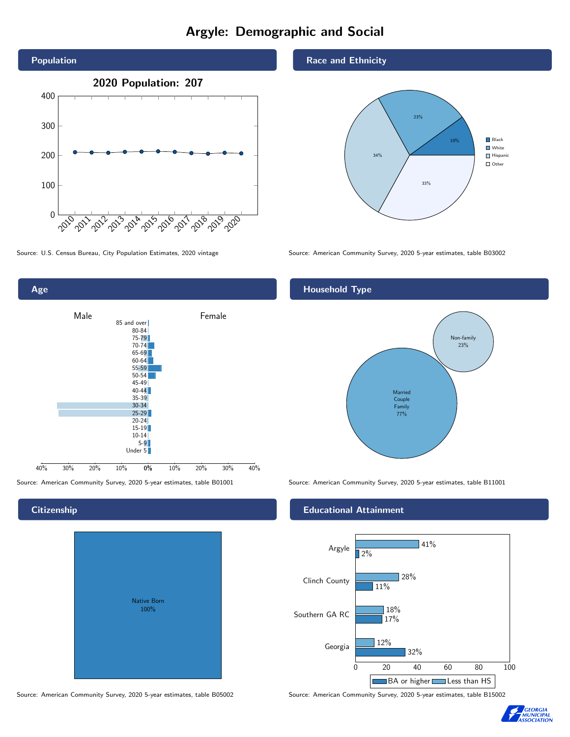# Argyle: Demographic and Social





Age Male **Female** 85 and over 80-84 75-79 70-74 65-69 60-64 55-59 50-54 45-49 40-44 35-39 30-34 25-29 20-24  $15-19$ 10-14 5-9 Under 5

0% 10% 20% 30% 40%

40% 30% 20% 10%

# Native Born 100%

## Race and Ethnicity



Source: U.S. Census Bureau, City Population Estimates, 2020 vintage Source: American Community Survey, 2020 5-year estimates, table B03002

# Household Type



Source: American Community Survey, 2020 5-year estimates, table B01001 Source: American Community Survey, 2020 5-year estimates, table B11001

# Educational Attainment



Source: American Community Survey, 2020 5-year estimates, table B05002 Source: American Community Survey, 2020 5-year estimates, table B15002



# **Citizenship**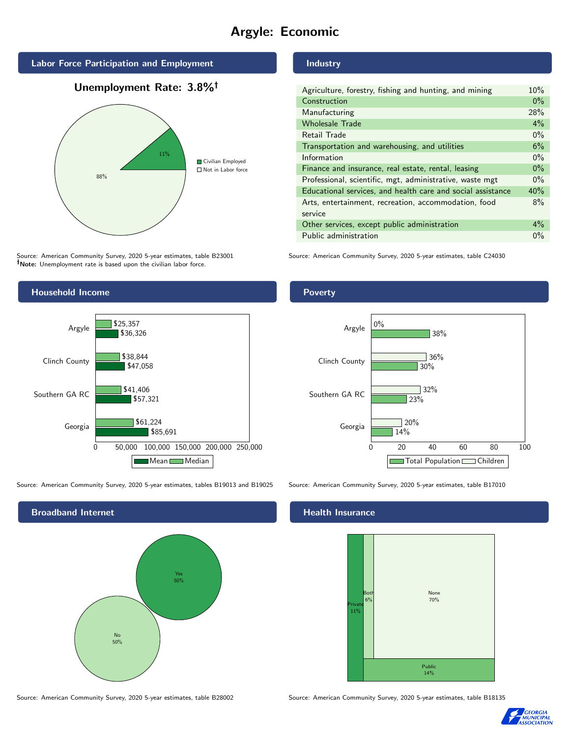# Argyle: Economic



# Unemployment Rate: 3.8%



Source: American Community Survey, 2020 5-year estimates, table B23001 Note: Unemployment rate is based upon the civilian labor force.



Source: American Community Survey, 2020 5-year estimates, tables B19013 and B19025 Source: American Community Survey, 2020 5-year estimates, table B17010

Broadband Internet No 50% Yes 50%

Source: American Community Survey, 2020 5-year estimates, table B28002 Source: American Community Survey, 2020 5-year estimates, table B18135

Industry

| Agriculture, forestry, fishing and hunting, and mining      | 10%   |
|-------------------------------------------------------------|-------|
| Construction                                                | $0\%$ |
| Manufacturing                                               | 28%   |
| <b>Wholesale Trade</b>                                      | $4\%$ |
| Retail Trade                                                | $0\%$ |
| Transportation and warehousing, and utilities               | 6%    |
| Information                                                 | $0\%$ |
| Finance and insurance, real estate, rental, leasing         | $0\%$ |
| Professional, scientific, mgt, administrative, waste mgt    | $0\%$ |
| Educational services, and health care and social assistance | 40%   |
| Arts, entertainment, recreation, accommodation, food        | 8%    |
| service                                                     |       |
| Other services, except public administration                | $4\%$ |
| Public administration                                       | $0\%$ |

Source: American Community Survey, 2020 5-year estimates, table C24030

# **Poverty**



## Health Insurance